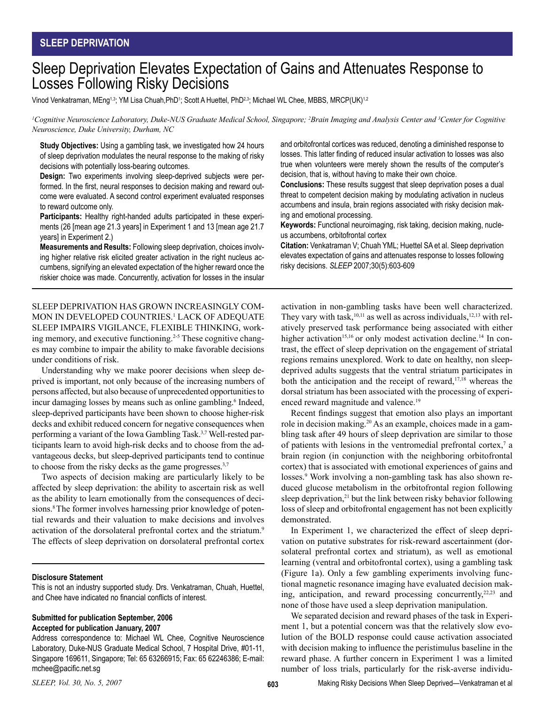# Sleep Deprivation Elevates Expectation of Gains and Attenuates Response to Losses Following Risky Decisions

Vinod Venkatraman, MEng13; YM Lisa Chuah,PhD<sup>1</sup>; Scott A Huettel, PhD<sup>2,3</sup>; Michael WL Chee, MBBS, MRCP(UK)<sup>1,2</sup>

*1 Cognitive Neuroscience Laboratory, Duke-NUS Graduate Medical School, Singapore; 2 Brain Imaging and Analysis Center and 3 Center for Cognitive Neuroscience, Duke University, Durham, NC*

**Study Objectives:** Using a gambling task, we investigated how 24 hours of sleep deprivation modulates the neural response to the making of risky decisions with potentially loss-bearing outcomes.

**Design:** Two experiments involving sleep-deprived subjects were performed. In the first, neural responses to decision making and reward outcome were evaluated. A second control experiment evaluated responses to reward outcome only.

**Participants:** Healthy right-handed adults participated in these experiments (26 [mean age 21.3 years] in Experiment 1 and 13 [mean age 21.7 years] in Experiment 2.)

**Measurements and Results:** Following sleep deprivation, choices involving higher relative risk elicited greater activation in the right nucleus accumbens, signifying an elevated expectation of the higher reward once the riskier choice was made. Concurrently, activation for losses in the insular

SLEEP DEPRIVATION HAS GROWN INCREASINGLY COM-MON IN DEVELOPED COUNTRIES.1 LACK OF ADEQUATE SLEEP IMPAIRS VIGILANCE, FLEXIBLE THINKING, working memory, and executive functioning.<sup>2-5</sup> These cognitive changes may combine to impair the ability to make favorable decisions under conditions of risk.

Understanding why we make poorer decisions when sleep deprived is important, not only because of the increasing numbers of persons affected, but also because of unprecedented opportunities to incur damaging losses by means such as online gambling.<sup>6</sup> Indeed, sleep-deprived participants have been shown to choose higher-risk decks and exhibit reduced concern for negative consequences when performing a variant of the Iowa Gambling Task.<sup>3,7</sup> Well-rested participants learn to avoid high-risk decks and to choose from the advantageous decks, but sleep-deprived participants tend to continue to choose from the risky decks as the game progresses.<sup>3,7</sup>

Two aspects of decision making are particularly likely to be affected by sleep deprivation: the ability to ascertain risk as well as the ability to learn emotionally from the consequences of decisions.<sup>8</sup> The former involves harnessing prior knowledge of potential rewards and their valuation to make decisions and involves activation of the dorsolateral prefrontal cortex and the striatum.<sup>9</sup> The effects of sleep deprivation on dorsolateral prefrontal cortex

#### **Disclosure Statement**

This is not an industry supported study. Drs. Venkatraman, Chuah, Huettel, and Chee have indicated no financial conflicts of interest.

## **Submitted for publication September, 2006 Accepted for publication January, 2007**

Address correspondence to: Michael WL Chee, Cognitive Neuroscience Laboratory, Duke-NUS Graduate Medical School, 7 Hospital Drive, #01-11, Singapore 169611, Singapore; Tel: 65 63266915; Fax: 65 62246386; E-mail: mchee@pacific.net.sg

*SLEEP, Vol. 30, No. 5, 2007* **603**

and orbitofrontal cortices was reduced, denoting a diminished response to losses. This latter finding of reduced insular activation to losses was also true when volunteers were merely shown the results of the computer's decision, that is, without having to make their own choice.

**Conclusions:** These results suggest that sleep deprivation poses a dual threat to competent decision making by modulating activation in nucleus accumbens and insula, brain regions associated with risky decision making and emotional processing.

**Keywords:** Functional neuroimaging, risk taking, decision making, nucleus accumbens, orbitofrontal cortex

**Citation:** Venkatraman V; Chuah YML; Huettel SA et al. Sleep deprivation elevates expectation of gains and attenuates response to losses following risky decisions. *SLEEP* 2007;30(5):603-609

activation in non-gambling tasks have been well characterized. They vary with task,<sup>10,11</sup> as well as across individuals,<sup>12,13</sup> with relatively preserved task performance being associated with either higher activation<sup>15,16</sup> or only modest activation decline.<sup>14</sup> In contrast, the effect of sleep deprivation on the engagement of striatal regions remains unexplored. Work to date on healthy, non sleepdeprived adults suggests that the ventral striatum participates in both the anticipation and the receipt of reward,<sup>17,18</sup> whereas the dorsal striatum has been associated with the processing of experienced reward magnitude and valence.19

Recent findings suggest that emotion also plays an important role in decision making.20 As an example, choices made in a gambling task after 49 hours of sleep deprivation are similar to those of patients with lesions in the ventromedial prefrontal cortex,<sup>7</sup> a brain region (in conjunction with the neighboring orbitofrontal cortex) that is associated with emotional experiences of gains and losses.<sup>9</sup> Work involving a non-gambling task has also shown reduced glucose metabolism in the orbitofrontal region following sleep deprivation,<sup>21</sup> but the link between risky behavior following loss of sleep and orbitofrontal engagement has not been explicitly demonstrated.

In Experiment 1, we characterized the effect of sleep deprivation on putative substrates for risk-reward ascertainment (dorsolateral prefrontal cortex and striatum), as well as emotional learning (ventral and orbitofrontal cortex), using a gambling task (Figure 1a). Only a few gambling experiments involving functional magnetic resonance imaging have evaluated decision making, anticipation, and reward processing concurrently, $22,23$  and none of those have used a sleep deprivation manipulation.

We separated decision and reward phases of the task in Experiment 1, but a potential concern was that the relatively slow evolution of the BOLD response could cause activation associated with decision making to influence the peristimulus baseline in the reward phase. A further concern in Experiment 1 was a limited number of loss trials, particularly for the risk-averse individu-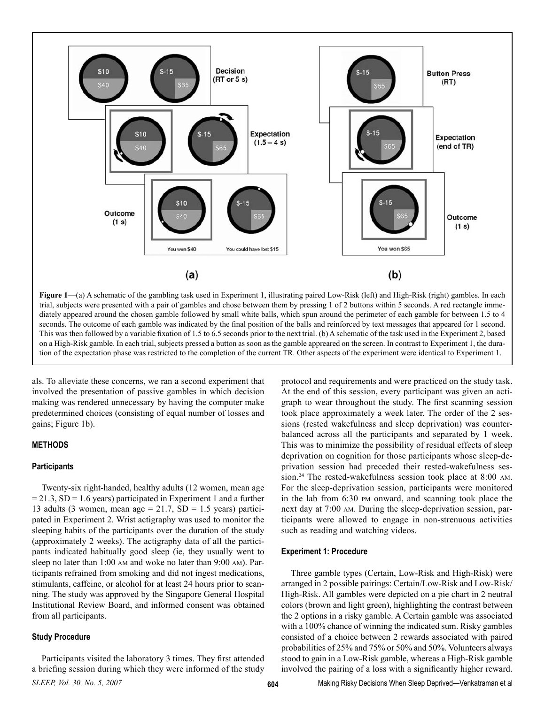

**Figure 1—(a)** A schematic of the gambling task used in Experiment 1, illustrating paired Low-Risk (left) and High-Risk (right) gambles. In each trial, subjects were presented with a pair of gambles and chose between them by pressing 1 of 2 buttons within 5 seconds. A red rectangle immediately appeared around the chosen gamble followed by small white balls, which spun around the perimeter of each gamble for between 1.5 to 4 seconds. The outcome of each gamble was indicated by the final position of the balls and reinforced by text messages that appeared for 1 second. This was then followed by a variable fixation of 1.5 to 6.5 seconds prior to the next trial. (b) A schematic of the task used in the Experiment 2, based on a High-Risk gamble. In each trial, subjects pressed a button as soon as the gamble appreared on the screen. In contrast to Experiment 1, the duration of the expectation phase was restricted to the completion of the current TR. Other aspects of the experiment were identical to Experiment 1.

als. To alleviate these concerns, we ran a second experiment that involved the presentation of passive gambles in which decision making was rendered unnecessary by having the computer make predetermined choices (consisting of equal number of losses and gains; Figure 1b).

# **METHODS**

#### **Participants**

Twenty-six right-handed, healthy adults (12 women, mean age  $= 21.3$ , SD = 1.6 years) participated in Experiment 1 and a further 13 adults (3 women, mean age  $= 21.7$ , SD  $= 1.5$  years) participated in Experiment 2. Wrist actigraphy was used to monitor the sleeping habits of the participants over the duration of the study (approximately 2 weeks). The actigraphy data of all the participants indicated habitually good sleep (ie, they usually went to sleep no later than 1:00 AM and woke no later than 9:00 AM). Participants refrained from smoking and did not ingest medications, stimulants, caffeine, or alcohol for at least 24 hours prior to scanning. The study was approved by the Singapore General Hospital Institutional Review Board, and informed consent was obtained from all participants.

#### **Study Procedure**

*SLEEP, Vol. 30, No. 5, 2007* **604** Participants visited the laboratory 3 times. They first attended a briefing session during which they were informed of the study

protocol and requirements and were practiced on the study task. At the end of this session, every participant was given an actigraph to wear throughout the study. The first scanning session took place approximately a week later. The order of the 2 sessions (rested wakefulness and sleep deprivation) was counterbalanced across all the participants and separated by 1 week. This was to minimize the possibility of residual effects of sleep deprivation on cognition for those participants whose sleep-deprivation session had preceded their rested-wakefulness session.<sup>24</sup> The rested-wakefulness session took place at 8:00 AM. For the sleep-deprivation session, participants were monitored in the lab from 6:30 PM onward, and scanning took place the next day at 7:00 AM. During the sleep-deprivation session, participants were allowed to engage in non-strenuous activities such as reading and watching videos.

# **Experiment 1: Procedure**

Three gamble types (Certain, Low-Risk and High-Risk) were arranged in 2 possible pairings: Certain/Low-Risk and Low-Risk/ High-Risk. All gambles were depicted on a pie chart in 2 neutral colors (brown and light green), highlighting the contrast between the 2 options in a risky gamble. A Certain gamble was associated with a 100% chance of winning the indicated sum. Risky gambles consisted of a choice between 2 rewards associated with paired probabilities of 25% and 75% or 50% and 50%. Volunteers always stood to gain in a Low-Risk gamble, whereas a High-Risk gamble involved the pairing of a loss with a significantly higher reward.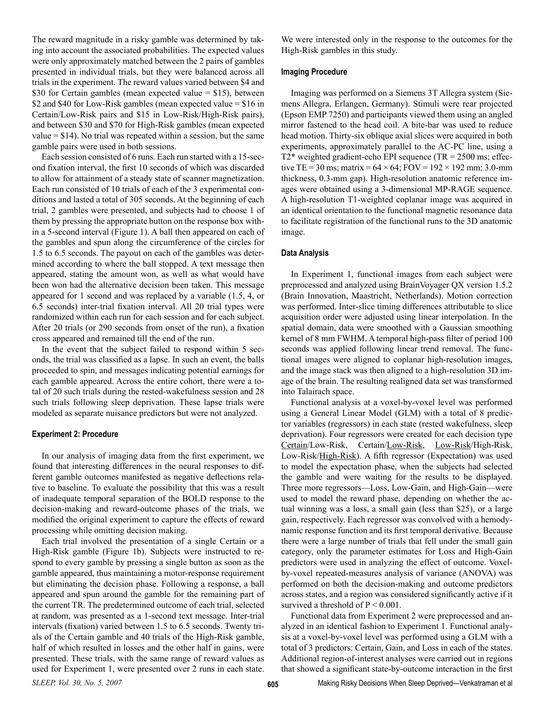The reward magnitude in a risky gamble was determined by taking into account the associated probabilities. The expected values were only approximately matched between the 2 pairs of gambles presented in individual trials, but they were balanced across all trials in the experiment. The reward values varied between \$4 and \$30 for Certain gambles (mean expected value = \$15), between \$2 and \$40 for Low-Risk gambles (mean expected value = \$16 in Certain/Low-Risk pairs and \$15 in Low-Risk/High-Risk pairs), and between \$30 and \$70 for High-Risk gambles (mean expected value  $= $14$ ). No trial was repeated within a session, but the same gamble pairs were used in both sessions.

Each session consisted of 6 runs. Each run started with a 15-second fixation interval, the first 10 seconds of which was discarded to allow for attainment of a steady state of scanner magnetization. Each run consisted of 10 trials of each of the 3 experimental conditions and lasted a total of 305 seconds. At the beginning of each trial, 2 gambles were presented, and subjects had to choose 1 of them by pressing the appropriate button on the response box within a 5-second interval (Figure 1). A ball then appeared on each of the gambles and spun along the circumference of the circles for 1.5 to 6.5 seconds. The payout on each of the gambles was determined according to where the ball stopped. A text message then appeared, stating the amount won, as well as what would have been won had the alternative decision been taken. This message appeared for 1 second and was replaced by a variable (1.5, 4, or 6.5 seconds) inter-trial fixation interval. All 20 trial types were randomized within each run for each session and for each subject. After 20 trials (or 290 seconds from onset of the run), a fixation cross appeared and remained till the end of the run.

In the event that the subject failed to respond within 5 seconds, the trial was classified as a lapse. In such an event, the balls proceeded to spin, and messages indicating potential earnings for each gamble appeared. Across the entire cohort, there were a total of 20 such trials during the rested-wakefulness session and 28 such trials following sleep deprivation. These lapse trials were modeled as separate nuisance predictors but were not analyzed.

#### **Experiment 2: Procedure**

In our analysis of imaging data from the first experiment, we found that interesting differences in the neural responses to different gamble outcomes manifested as negative deflections relative to baseline. To evaluate the possibility that this was a result of inadequate temporal separation of the BOLD response to the decision-making and reward-outcome phases of the trials, we modified the original experiment to capture the effects of reward processing while omitting decision making.

Each trial involved the presentation of a single Certain or a High-Risk gamble (Figure 1b). Subjects were instructed to respond to every gamble by pressing a single button as soon as the gamble appeared, thus maintaining a motor-response requirement but eliminating the decision phase. Following a response, a ball appeared and spun around the gamble for the remaining part of the current TR. The predetermined outcome of each trial, selected at random, was presented as a 1-second text message. Inter-trial intervals (fixation) varied between 1.5 to 6.5 seconds. Twenty trials of the Certain gamble and 40 trials of the High-Risk gamble, half of which resulted in losses and the other half in gains, were presented. These trials, with the same range of reward values as used for Experiment 1, were presented over 2 runs in each state.

We were interested only in the response to the outcomes for the High-Risk gambles in this study.

#### **Imaging Procedure**

Imaging was performed on a Siemens 3T Allegra system (Siemens Allegra, Erlangen, Germany). Stimuli were rear projected (Epson EMP 7250) and participants viewed them using an angled mirror fastened to the head coil. A bite-bar was used to reduce head motion. Thirty-six oblique axial slices were acquired in both experiments, approximately parallel to the AC-PC line, using a  $T2*$  weighted gradient-echo EPI sequence (TR = 2500 ms; effective TE = 30 ms; matrix =  $64 \times 64$ ; FOV =  $192 \times 192$  mm; 3.0-mm thickness, 0.3-mm gap). High-resolution anatomic reference images were obtained using a 3-dimensional MP-RAGE sequence. A high-resolution T1-weighted coplanar image was acquired in an identical orientation to the functional magnetic resonance data to facilitate registration of the functional runs to the 3D anatomic image.

#### **Data Analysis**

In Experiment 1, functional images from each subject were preprocessed and analyzed using BrainVoyager QX version 1.5.2 (Brain Innovation, Maastricht, Netherlands). Motion correction was performed. Inter-slice timing differences attributable to slice acquisition order were adjusted using linear interpolation. In the spatial domain, data were smoothed with a Gaussian smoothing kernel of 8 mm FWHM. A temporal high-pass filter of period 100 seconds was applied following linear trend removal. The functional images were aligned to coplanar high-resolution images, and the image stack was then aligned to a high-resolution 3D image of the brain. The resulting realigned data set was transformed into Talairach space.

Functional analysis at a voxel-by-voxel level was performed using a General Linear Model (GLM) with a total of 8 predictor variables (regressors) in each state (rested wakefulness, sleep deprivation). Four regressors were created for each decision type Certain/Low-Risk, Certain/Low-Risk, Low-Risk/High-Risk, Low-Risk/High-Risk). A fifth regressor (Expectation) was used to model the expectation phase, when the subjects had selected the gamble and were waiting for the results to be displayed. Three more regressors—Loss, Low-Gain, and High-Gain—were used to model the reward phase, depending on whether the actual winning was a loss, a small gain (less than \$25), or a large gain, respectively. Each regressor was convolved with a hemodynamic response function and its first temporal derivative. Because there were a large number of trials that fell under the small gain category, only the parameter estimates for Loss and High-Gain predictors were used in analyzing the effect of outcome. Voxelby-voxel repeated-measures analysis of variance (ANOVA) was performed on both the decision-making and outcome predictors across states, and a region was considered significantly active if it survived a threshold of  $P \le 0.001$ .

Functional data from Experiment 2 were preprocessed and analyzed in an identical fashion to Experiment 1. Functional analysis at a voxel-by-voxel level was performed using a GLM with a total of 3 predictors: Certain, Gain, and Loss in each of the states. Additional region-of-interest analyses were carried out in regions that showed a significant state-by-outcome interaction in the first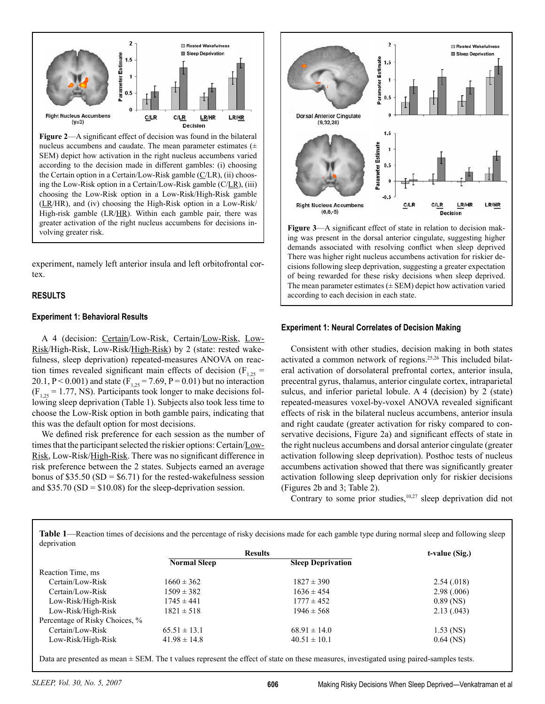

**Figure 2**—A significant effect of decision was found in the bilateral nucleus accumbens and caudate. The mean parameter estimates (± SEM) depict how activation in the right nucleus accumbens varied according to the decision made in different gambles: (i) choosing the Certain option in a Certain/Low-Risk gamble (C/LR), (ii) choosing the Low-Risk option in a Certain/Low-Risk gamble (C/LR), (iii) choosing the Low-Risk option in a Low-Risk/High-Risk gamble (LR/HR), and (iv) choosing the High-Risk option in a Low-Risk/ High-risk gamble (LR/HR). Within each gamble pair, there was greater activation of the right nucleus accumbens for decisions in-Figure 3—A significant effect of state in relation to decision mak-<br>volving greater risk.

experiment, namely left anterior insula and left orbitofrontal cortex.

# **RESULTS**

#### **Experiment 1: Behavioral Results**

A 4 (decision: Certain/Low-Risk, Certain/Low-Risk, Low-Risk/High-Risk, Low-Risk/High-Risk) by 2 (state: rested wakefulness, sleep deprivation) repeated-measures ANOVA on reaction times revealed significant main effects of decision ( $F_{1,25}$  = 20.1, P < 0.001) and state  $(F_{1,25} = 7.69, P = 0.01)$  but no interaction  $(F_{1,25} = 1.77, NS)$ . Participants took longer to make decisions following sleep deprivation (Table 1). Subjects also took less time to choose the Low-Risk option in both gamble pairs, indicating that this was the default option for most decisions.

We defined risk preference for each session as the number of times that the participant selected the riskier options: Certain/Low-Risk, Low-Risk/High-Risk. There was no significant difference in risk preference between the 2 states. Subjects earned an average bonus of \$35.50 (SD =  $$6.71$ ) for the rested-wakefulness session and \$35.70 ( $SD = $10.08$ ) for the sleep-deprivation session.



ing was present in the dorsal anterior cingulate, suggesting higher demands associated with resolving conflict when sleep deprived There was higher right nucleus accumbens activation for riskier decisions following sleep deprivation, suggesting a greater expectation of being rewarded for these risky decisions when sleep deprived. The mean parameter estimates  $(\pm$  SEM) depict how activation varied according to each decision in each state.

#### **Experiment 1: Neural Correlates of Decision Making**

Consistent with other studies, decision making in both states activated a common network of regions.25,26 This included bilateral activation of dorsolateral prefrontal cortex, anterior insula, precentral gyrus, thalamus, anterior cingulate cortex, intraparietal sulcus, and inferior parietal lobule. A 4 (decision) by 2 (state) repeated-measures voxel-by-voxel ANOVA revealed significant effects of risk in the bilateral nucleus accumbens, anterior insula and right caudate (greater activation for risky compared to conservative decisions, Figure 2a) and significant effects of state in the right nucleus accumbens and dorsal anterior cingulate (greater activation following sleep deprivation). Posthoc tests of nucleus accumbens activation showed that there was significantly greater activation following sleep deprivation only for riskier decisions (Figures 2b and 3; Table 2).

Contrary to some prior studies,<sup>10,27</sup> sleep deprivation did not

**Table 1**—Reaction times of decisions and the percentage of risky decisions made for each gamble type during normal sleep and following sleep deprivation

|                                | <b>Results</b>      |                          | t-value (Sig.) |  |
|--------------------------------|---------------------|--------------------------|----------------|--|
|                                | <b>Normal Sleep</b> | <b>Sleep Deprivation</b> |                |  |
| Reaction Time, ms              |                     |                          |                |  |
| Certain/Low-Risk               | $1660 \pm 362$      | $1827 \pm 390$           | 2.54(018)      |  |
| Certain/Low-Risk               | $1509 \pm 382$      | $1636 \pm 454$           | 2.98(.006)     |  |
| Low-Risk/High-Risk             | $1745 \pm 441$      | $1777 \pm 452$           | $0.89$ (NS)    |  |
| Low-Risk/High-Risk             | $1821 \pm 518$      | $1946 \pm 568$           | 2.13(0.043)    |  |
| Percentage of Risky Choices, % |                     |                          |                |  |
| Certain/Low-Risk               | $65.51 \pm 13.1$    | $68.91 \pm 14.0$         | $1.53$ (NS)    |  |
| Low-Risk/High-Risk             | $41.98 \pm 14.8$    | $40.51 \pm 10.1$         | $0.64$ (NS)    |  |

Data are presented as mean ± SEM. The t values represent the effect of state on these measures, investigated using paired-samples tests.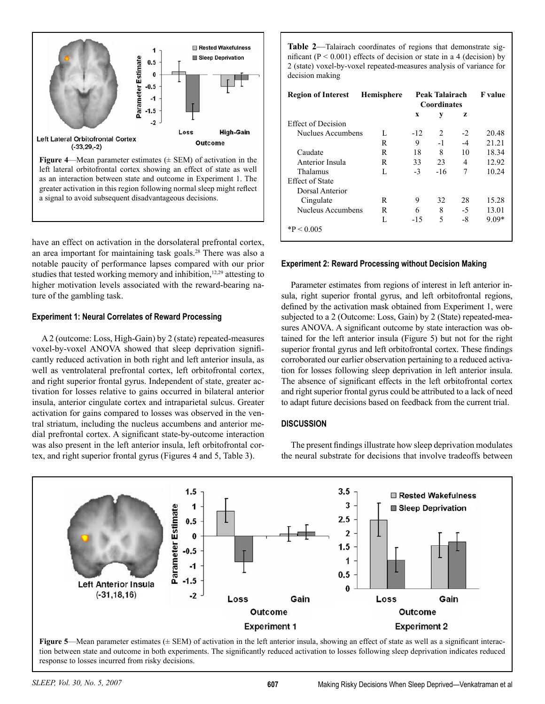

as an interaction between state and outcome in Experiment 1. The greater activation in this region following normal sleep might reflect a signal to avoid subsequent disadvantageous decisions.

have an effect on activation in the dorsolateral prefrontal cortex, an area important for maintaining task goals.28 There was also a notable paucity of performance lapses compared with our prior studies that tested working memory and inhibition,<sup>12,29</sup> attesting to higher motivation levels associated with the reward-bearing nature of the gambling task.

# **Experiment 1: Neural Correlates of Reward Processing**

A 2 (outcome: Loss, High-Gain) by 2 (state) repeated-measures voxel-by-voxel ANOVA showed that sleep deprivation significantly reduced activation in both right and left anterior insula, as well as ventrolateral prefrontal cortex, left orbitofrontal cortex, and right superior frontal gyrus. Independent of state, greater activation for losses relative to gains occurred in bilateral anterior insula, anterior cingulate cortex and intraparietal sulcus. Greater activation for gains compared to losses was observed in the ventral striatum, including the nucleus accumbens and anterior medial prefrontal cortex. A significant state-by-outcome interaction was also present in the left anterior insula, left orbitofrontal cortex, and right superior frontal gyrus (Figures 4 and 5, Table 3).

**Table 2**—Talairach coordinates of regions that demonstrate significant ( $P < 0.001$ ) effects of decision or state in a 4 (decision) by 2 (state) voxel-by-voxel repeated-measures analysis of variance for decision making

| <b>Region of Interest</b> | <b>Hemisphere</b> | Peak Talairach<br><b>Coordinates</b> |       |      | <b>F</b> value |
|---------------------------|-------------------|--------------------------------------|-------|------|----------------|
|                           |                   | X                                    | у     | z    |                |
| <b>Effect of Decision</b> |                   |                                      |       |      |                |
| Nuclues Accumbens         | L                 | $-12$                                | 2     | $-2$ | 20.48          |
|                           | R                 | 9                                    | $-1$  | $-4$ | 21.21          |
| Caudate                   | R                 | 18                                   | 8     | 10   | 18.34          |
| Anterior Insula           | R                 | 33                                   | 23    | 4    | 12.92          |
| Thalamus                  | L                 | $-3$                                 | $-16$ | 7    | 10.24          |
| <b>Effect of State</b>    |                   |                                      |       |      |                |
| Dorsal Anterior           |                   |                                      |       |      |                |
| Cingulate                 | R                 | 9                                    | 32    | 28   | 15.28          |
| Nucleus Accumbens         | R                 | 6                                    | 8     | $-5$ | 13.01          |
|                           | L                 | $-15$                                | 5     | $-8$ | $9.09*$        |
| $*P < 0.005$              |                   |                                      |       |      |                |

# **Experiment 2: Reward Processing without Decision Making**

Parameter estimates from regions of interest in left anterior insula, right superior frontal gyrus, and left orbitofrontal regions, defined by the activation mask obtained from Experiment 1, were subjected to a 2 (Outcome: Loss, Gain) by 2 (State) repeated-measures ANOVA. A significant outcome by state interaction was obtained for the left anterior insula (Figure 5) but not for the right superior frontal gyrus and left orbitofrontal cortex. These findings corroborated our earlier observation pertaining to a reduced activation for losses following sleep deprivation in left anterior insula. The absence of significant effects in the left orbitofrontal cortex and right superior frontal gyrus could be attributed to a lack of need to adapt future decisions based on feedback from the current trial.

# **DISCUSSION**

The present findings illustrate how sleep deprivation modulates the neural substrate for decisions that involve tradeoffs between



tion between state and outcome in both experiments. The significantly reduced activation to losses following sleep deprivation indicates reduced response to losses incurred from risky decisions.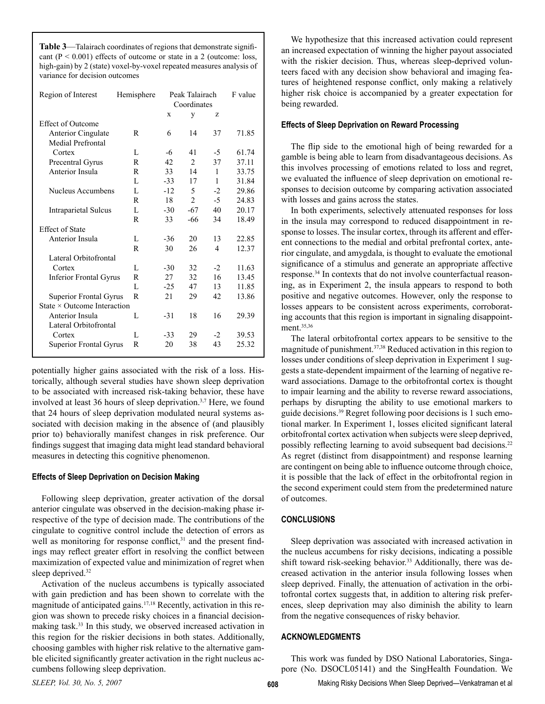**Table 3**—Talairach coordinates of regions that demonstrate significant  $(P < 0.001)$  effects of outcome or state in a 2 (outcome: loss, high-gain) by 2 (state) voxel-by-voxel repeated measures analysis of variance for decision outcomes

| Region of Interest                 | Hemisphere   | Peak Talairach<br>Coordinates |                |      | F value |
|------------------------------------|--------------|-------------------------------|----------------|------|---------|
|                                    |              | X                             | y              | z    |         |
| <b>Effect of Outcome</b>           |              |                               |                |      |         |
| Anterior Cingulate                 | R            | 6                             | 14             | 37   | 71.85   |
| <b>Medial Prefrontal</b>           |              |                               |                |      |         |
| Cortex                             | L            | -6                            | 41             | $-5$ | 61.74   |
| Precentral Gyrus                   | R            | 42                            | 2              | 37   | 37.11   |
| Anterior Insula                    | R            | 33                            | 14             | 1    | 33.75   |
|                                    | L            | $-33$                         | 17             | 1    | 31.84   |
| Nucleus Accumbens                  | L            | $-12$                         | 5              | $-2$ | 29.86   |
|                                    | R            | 18                            | $\overline{c}$ | $-5$ | 24.83   |
| <b>Intraparietal Sulcus</b>        | L            | $-30$                         | $-67$          | 40   | 20.17   |
|                                    | R            | 33                            | $-66$          | 34   | 18.49   |
| <b>Effect of State</b>             |              |                               |                |      |         |
| Anterior Insula                    | L            | $-36$                         | 20             | 13   | 22.85   |
|                                    | R            | 30                            | 26             | 4    | 12.37   |
| Lateral Orbitofrontal              |              |                               |                |      |         |
| Cortex                             | L            | $-30$                         | 32             | $-2$ | 11.63   |
| <b>Inferior Frontal Gyrus</b>      | R            | 27                            | 32             | 16   | 13.45   |
|                                    | $\mathbf{L}$ | $-25$                         | 47             | 13   | 11.85   |
| Superior Frontal Gyrus             | R            | 21                            | 29             | 42   | 13.86   |
| State $\times$ Outcome Interaction |              |                               |                |      |         |
| Anterior Insula                    | L            | $-31$                         | 18             | 16   | 29.39   |
| Lateral Orbitofrontal              |              |                               |                |      |         |
| Cortex                             | L            | $-33$                         | 29             | $-2$ | 39.53   |
| Superior Frontal Gyrus             | R            | 20                            | 38             | 43   | 25.32   |
|                                    |              |                               |                |      |         |

potentially higher gains associated with the risk of a loss. Historically, although several studies have shown sleep deprivation to be associated with increased risk-taking behavior, these have involved at least 36 hours of sleep deprivation.<sup>3,7</sup> Here, we found that 24 hours of sleep deprivation modulated neural systems associated with decision making in the absence of (and plausibly prior to) behaviorally manifest changes in risk preference. Our findings suggest that imaging data might lead standard behavioral measures in detecting this cognitive phenomenon.

#### **Effects of Sleep Deprivation on Decision Making**

Following sleep deprivation, greater activation of the dorsal anterior cingulate was observed in the decision-making phase irrespective of the type of decision made. The contributions of the cingulate to cognitive control include the detection of errors as well as monitoring for response conflict, $31$  and the present findings may reflect greater effort in resolving the conflict between maximization of expected value and minimization of regret when sleep deprived.<sup>32</sup>

Activation of the nucleus accumbens is typically associated with gain prediction and has been shown to correlate with the magnitude of anticipated gains.<sup>17,18</sup> Recently, activation in this region was shown to precede risky choices in a financial decisionmaking task.33 In this study, we observed increased activation in this region for the riskier decisions in both states. Additionally, choosing gambles with higher risk relative to the alternative gamble elicited significantly greater activation in the right nucleus accumbens following sleep deprivation.

We hypothesize that this increased activation could represent an increased expectation of winning the higher payout associated with the riskier decision. Thus, whereas sleep-deprived volunteers faced with any decision show behavioral and imaging features of heightened response conflict, only making a relatively higher risk choice is accompanied by a greater expectation for being rewarded.

#### **Effects of Sleep Deprivation on Reward Processing**

The flip side to the emotional high of being rewarded for a gamble is being able to learn from disadvantageous decisions. As this involves processing of emotions related to loss and regret, we evaluated the influence of sleep deprivation on emotional responses to decision outcome by comparing activation associated with losses and gains across the states.

In both experiments, selectively attenuated responses for loss in the insula may correspond to reduced disappointment in response to losses. The insular cortex, through its afferent and efferent connections to the medial and orbital prefrontal cortex, anterior cingulate, and amygdala, is thought to evaluate the emotional significance of a stimulus and generate an appropriate affective response.34 In contexts that do not involve counterfactual reasoning, as in Experiment 2, the insula appears to respond to both positive and negative outcomes. However, only the response to losses appears to be consistent across experiments, corroborating accounts that this region is important in signaling disappointment.<sup>35,36</sup>

The lateral orbitofrontal cortex appears to be sensitive to the magnitude of punishment.37,38 Reduced activation in this region to losses under conditions of sleep deprivation in Experiment 1 suggests a state-dependent impairment of the learning of negative reward associations. Damage to the orbitofrontal cortex is thought to impair learning and the ability to reverse reward associations, perhaps by disrupting the ability to use emotional markers to guide decisions.39 Regret following poor decisions is 1 such emotional marker. In Experiment 1, losses elicited significant lateral orbitofrontal cortex activation when subjects were sleep deprived, possibly reflecting learning to avoid subsequent bad decisions.<sup>22</sup> As regret (distinct from disappointment) and response learning are contingent on being able to influence outcome through choice, it is possible that the lack of effect in the orbitofrontal region in the second experiment could stem from the predetermined nature of outcomes.

# **CONCLUSIONS**

Sleep deprivation was associated with increased activation in the nucleus accumbens for risky decisions, indicating a possible shift toward risk-seeking behavior.<sup>33</sup> Additionally, there was decreased activation in the anterior insula following losses when sleep deprived. Finally, the attenuation of activation in the orbitofrontal cortex suggests that, in addition to altering risk preferences, sleep deprivation may also diminish the ability to learn from the negative consequences of risky behavior.

#### **ACKNOWLEDGMENTS**

This work was funded by DSO National Laboratories, Singapore (No. DSOCL05141) and the SingHealth Foundation. We